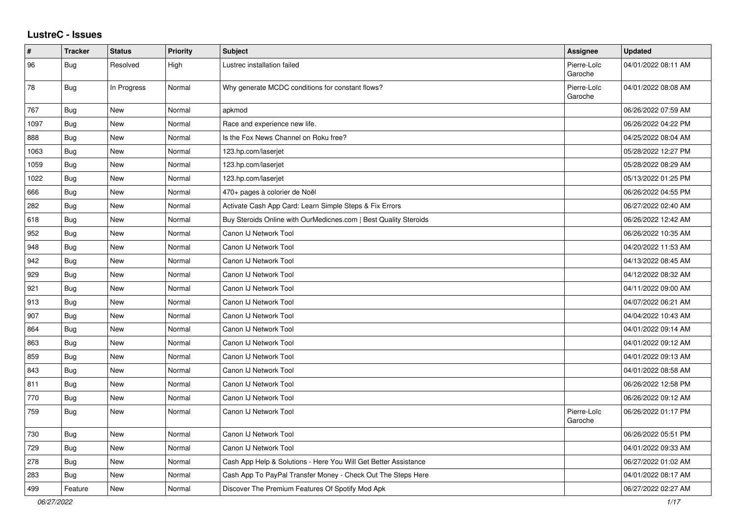## **LustreC - Issues**

| #    | <b>Tracker</b> | <b>Status</b> | <b>Priority</b> | <b>Subject</b>                                                   | <b>Assignee</b>        | <b>Updated</b>      |
|------|----------------|---------------|-----------------|------------------------------------------------------------------|------------------------|---------------------|
| 96   | <b>Bug</b>     | Resolved      | High            | Lustrec installation failed                                      | Pierre-Loïc<br>Garoche | 04/01/2022 08:11 AM |
| 78   | Bug            | In Progress   | Normal          | Why generate MCDC conditions for constant flows?                 | Pierre-Loïc<br>Garoche | 04/01/2022 08:08 AM |
| 767  | <b>Bug</b>     | <b>New</b>    | Normal          | apkmod                                                           |                        | 06/26/2022 07:59 AM |
| 1097 | <b>Bug</b>     | New           | Normal          | Race and experience new life.                                    |                        | 06/26/2022 04:22 PM |
| 888  | <b>Bug</b>     | <b>New</b>    | Normal          | Is the Fox News Channel on Roku free?                            |                        | 04/25/2022 08:04 AM |
| 1063 | Bug            | <b>New</b>    | Normal          | 123.hp.com/laserjet                                              |                        | 05/28/2022 12:27 PM |
| 1059 | Bug            | <b>New</b>    | Normal          | 123.hp.com/laserjet                                              |                        | 05/28/2022 08:29 AM |
| 1022 | Bug            | <b>New</b>    | Normal          | 123.hp.com/laserjet                                              |                        | 05/13/2022 01:25 PM |
| 666  | Bug            | New           | Normal          | 470+ pages à colorier de Noël                                    |                        | 06/26/2022 04:55 PM |
| 282  | Bug            | New           | Normal          | Activate Cash App Card: Learn Simple Steps & Fix Errors          |                        | 06/27/2022 02:40 AM |
| 618  | Bug            | New           | Normal          | Buy Steroids Online with OurMedicnes.com   Best Quality Steroids |                        | 06/26/2022 12:42 AM |
| 952  | Bug            | New           | Normal          | Canon IJ Network Tool                                            |                        | 06/26/2022 10:35 AM |
| 948  | Bug            | New           | Normal          | Canon IJ Network Tool                                            |                        | 04/20/2022 11:53 AM |
| 942  | Bug            | New           | Normal          | Canon IJ Network Tool                                            |                        | 04/13/2022 08:45 AM |
| 929  | Bug            | <b>New</b>    | Normal          | Canon IJ Network Tool                                            |                        | 04/12/2022 08:32 AM |
| 921  | Bug            | New           | Normal          | Canon IJ Network Tool                                            |                        | 04/11/2022 09:00 AM |
| 913  | Bug            | <b>New</b>    | Normal          | Canon IJ Network Tool                                            |                        | 04/07/2022 06:21 AM |
| 907  | <b>Bug</b>     | New           | Normal          | Canon IJ Network Tool                                            |                        | 04/04/2022 10:43 AM |
| 864  | <b>Bug</b>     | <b>New</b>    | Normal          | Canon IJ Network Tool                                            |                        | 04/01/2022 09:14 AM |
| 863  | Bug            | New           | Normal          | Canon IJ Network Tool                                            |                        | 04/01/2022 09:12 AM |
| 859  | <b>Bug</b>     | <b>New</b>    | Normal          | Canon IJ Network Tool                                            |                        | 04/01/2022 09:13 AM |
| 843  | Bug            | <b>New</b>    | Normal          | Canon IJ Network Tool                                            |                        | 04/01/2022 08:58 AM |
| 811  | Bug            | New           | Normal          | Canon IJ Network Tool                                            |                        | 06/26/2022 12:58 PM |
| 770  | <b>Bug</b>     | New           | Normal          | Canon IJ Network Tool                                            |                        | 06/26/2022 09:12 AM |
| 759  | <b>Bug</b>     | New           | Normal          | Canon IJ Network Tool                                            | Pierre-Loïc<br>Garoche | 06/26/2022 01:17 PM |
| 730  | Bug            | New           | Normal          | Canon IJ Network Tool                                            |                        | 06/26/2022 05:51 PM |
| 729  | <b>Bug</b>     | New           | Normal          | Canon IJ Network Tool                                            |                        | 04/01/2022 09:33 AM |
| 278  | Bug            | New           | Normal          | Cash App Help & Solutions - Here You Will Get Better Assistance  |                        | 06/27/2022 01:02 AM |
| 283  | Bug            | New           | Normal          | Cash App To PayPal Transfer Money - Check Out The Steps Here     |                        | 04/01/2022 08:17 AM |
| 499  | Feature        | <b>New</b>    | Normal          | Discover The Premium Features Of Spotify Mod Apk                 |                        | 06/27/2022 02:27 AM |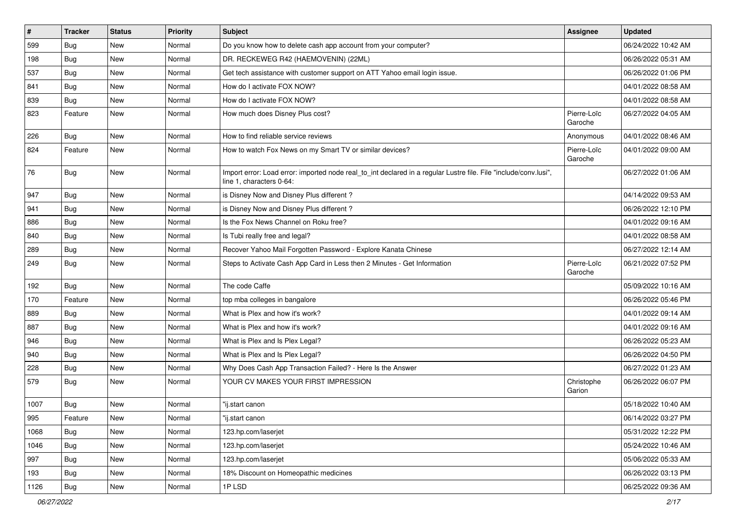| $\vert$ # | <b>Tracker</b> | <b>Status</b> | <b>Priority</b> | <b>Subject</b>                                                                                                                               | Assignee               | <b>Updated</b>      |
|-----------|----------------|---------------|-----------------|----------------------------------------------------------------------------------------------------------------------------------------------|------------------------|---------------------|
| 599       | Bug            | New           | Normal          | Do you know how to delete cash app account from your computer?                                                                               |                        | 06/24/2022 10:42 AM |
| 198       | <b>Bug</b>     | <b>New</b>    | Normal          | DR. RECKEWEG R42 (HAEMOVENIN) (22ML)                                                                                                         |                        | 06/26/2022 05:31 AM |
| 537       | Bug            | New           | Normal          | Get tech assistance with customer support on ATT Yahoo email login issue.                                                                    |                        | 06/26/2022 01:06 PM |
| 841       | Bug            | New           | Normal          | How do I activate FOX NOW?                                                                                                                   |                        | 04/01/2022 08:58 AM |
| 839       | <b>Bug</b>     | <b>New</b>    | Normal          | How do I activate FOX NOW?                                                                                                                   |                        | 04/01/2022 08:58 AM |
| 823       | Feature        | <b>New</b>    | Normal          | How much does Disney Plus cost?                                                                                                              | Pierre-Loïc<br>Garoche | 06/27/2022 04:05 AM |
| 226       | Bug            | <b>New</b>    | Normal          | How to find reliable service reviews                                                                                                         | Anonymous              | 04/01/2022 08:46 AM |
| 824       | Feature        | <b>New</b>    | Normal          | How to watch Fox News on my Smart TV or similar devices?                                                                                     | Pierre-Loïc<br>Garoche | 04/01/2022 09:00 AM |
| 76        | Bug            | <b>New</b>    | Normal          | Import error: Load error: imported node real_to_int declared in a regular Lustre file. File "include/conv.lusi",<br>line 1, characters 0-64: |                        | 06/27/2022 01:06 AM |
| 947       | Bug            | <b>New</b>    | Normal          | is Disney Now and Disney Plus different?                                                                                                     |                        | 04/14/2022 09:53 AM |
| 941       | Bug            | New           | Normal          | is Disney Now and Disney Plus different?                                                                                                     |                        | 06/26/2022 12:10 PM |
| 886       | Bug            | New           | Normal          | Is the Fox News Channel on Roku free?                                                                                                        |                        | 04/01/2022 09:16 AM |
| 840       | Bug            | <b>New</b>    | Normal          | Is Tubi really free and legal?                                                                                                               |                        | 04/01/2022 08:58 AM |
| 289       | Bug            | New           | Normal          | Recover Yahoo Mail Forgotten Password - Explore Kanata Chinese                                                                               |                        | 06/27/2022 12:14 AM |
| 249       | <b>Bug</b>     | <b>New</b>    | Normal          | Steps to Activate Cash App Card in Less then 2 Minutes - Get Information                                                                     | Pierre-Loïc<br>Garoche | 06/21/2022 07:52 PM |
| 192       | Bug            | <b>New</b>    | Normal          | The code Caffe                                                                                                                               |                        | 05/09/2022 10:16 AM |
| 170       | Feature        | <b>New</b>    | Normal          | top mba colleges in bangalore                                                                                                                |                        | 06/26/2022 05:46 PM |
| 889       | Bug            | New           | Normal          | What is Plex and how it's work?                                                                                                              |                        | 04/01/2022 09:14 AM |
| 887       | Bug            | <b>New</b>    | Normal          | What is Plex and how it's work?                                                                                                              |                        | 04/01/2022 09:16 AM |
| 946       | Bug            | New           | Normal          | What is Plex and Is Plex Legal?                                                                                                              |                        | 06/26/2022 05:23 AM |
| 940       | Bug            | New           | Normal          | What is Plex and Is Plex Legal?                                                                                                              |                        | 06/26/2022 04:50 PM |
| 228       | Bug            | <b>New</b>    | Normal          | Why Does Cash App Transaction Failed? - Here Is the Answer                                                                                   |                        | 06/27/2022 01:23 AM |
| 579       | <b>Bug</b>     | New           | Normal          | YOUR CV MAKES YOUR FIRST IMPRESSION                                                                                                          | Christophe<br>Garion   | 06/26/2022 06:07 PM |
| 1007      | Bug            | <b>New</b>    | Normal          | "ij.start canon                                                                                                                              |                        | 05/18/2022 10:40 AM |
| 995       | Feature        | New           | Normal          | "ij.start canon                                                                                                                              |                        | 06/14/2022 03:27 PM |
| 1068      | Bug            | <b>New</b>    | Normal          | 123.hp.com/laserjet                                                                                                                          |                        | 05/31/2022 12:22 PM |
| 1046      | Bug            | New           | Normal          | 123.hp.com/laserjet                                                                                                                          |                        | 05/24/2022 10:46 AM |
| 997       | <b>Bug</b>     | <b>New</b>    | Normal          | 123.hp.com/laserjet                                                                                                                          |                        | 05/06/2022 05:33 AM |
| 193       | Bug            | New           | Normal          | 18% Discount on Homeopathic medicines                                                                                                        |                        | 06/26/2022 03:13 PM |
| 1126      | <b>Bug</b>     | New           | Normal          | 1PLSD                                                                                                                                        |                        | 06/25/2022 09:36 AM |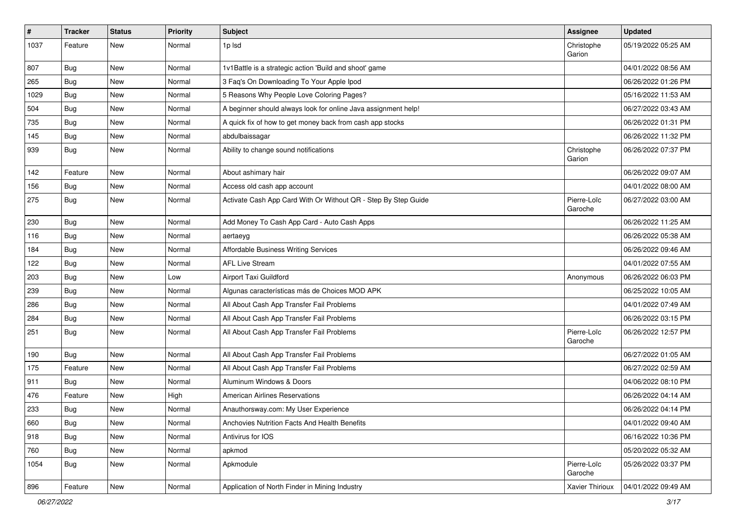| $\vert$ # | <b>Tracker</b> | <b>Status</b> | <b>Priority</b> | <b>Subject</b>                                                 | Assignee               | <b>Updated</b>      |
|-----------|----------------|---------------|-----------------|----------------------------------------------------------------|------------------------|---------------------|
| 1037      | Feature        | New           | Normal          | 1p lsd                                                         | Christophe<br>Garion   | 05/19/2022 05:25 AM |
| 807       | Bug            | <b>New</b>    | Normal          | 1v1Battle is a strategic action 'Build and shoot' game         |                        | 04/01/2022 08:56 AM |
| 265       | <b>Bug</b>     | New           | Normal          | 3 Faq's On Downloading To Your Apple Ipod                      |                        | 06/26/2022 01:26 PM |
| 1029      | Bug            | <b>New</b>    | Normal          | 5 Reasons Why People Love Coloring Pages?                      |                        | 05/16/2022 11:53 AM |
| 504       | <b>Bug</b>     | New           | Normal          | A beginner should always look for online Java assignment help! |                        | 06/27/2022 03:43 AM |
| 735       | <b>Bug</b>     | New           | Normal          | A quick fix of how to get money back from cash app stocks      |                        | 06/26/2022 01:31 PM |
| 145       | Bug            | New           | Normal          | abdulbaissagar                                                 |                        | 06/26/2022 11:32 PM |
| 939       | <b>Bug</b>     | New           | Normal          | Ability to change sound notifications                          | Christophe<br>Garion   | 06/26/2022 07:37 PM |
| 142       | Feature        | <b>New</b>    | Normal          | About ashimary hair                                            |                        | 06/26/2022 09:07 AM |
| 156       | <b>Bug</b>     | New           | Normal          | Access old cash app account                                    |                        | 04/01/2022 08:00 AM |
| 275       | <b>Bug</b>     | <b>New</b>    | Normal          | Activate Cash App Card With Or Without QR - Step By Step Guide | Pierre-Loïc<br>Garoche | 06/27/2022 03:00 AM |
| 230       | Bug            | <b>New</b>    | Normal          | Add Money To Cash App Card - Auto Cash Apps                    |                        | 06/26/2022 11:25 AM |
| 116       | Bug            | <b>New</b>    | Normal          | aertaeyg                                                       |                        | 06/26/2022 05:38 AM |
| 184       | Bug            | <b>New</b>    | Normal          | Affordable Business Writing Services                           |                        | 06/26/2022 09:46 AM |
| 122       | Bug            | <b>New</b>    | Normal          | <b>AFL Live Stream</b>                                         |                        | 04/01/2022 07:55 AM |
| 203       | <b>Bug</b>     | New           | Low             | Airport Taxi Guildford                                         | Anonymous              | 06/26/2022 06:03 PM |
| 239       | <b>Bug</b>     | New           | Normal          | Algunas características más de Choices MOD APK                 |                        | 06/25/2022 10:05 AM |
| 286       | Bug            | <b>New</b>    | Normal          | All About Cash App Transfer Fail Problems                      |                        | 04/01/2022 07:49 AM |
| 284       | <b>Bug</b>     | <b>New</b>    | Normal          | All About Cash App Transfer Fail Problems                      |                        | 06/26/2022 03:15 PM |
| 251       | <b>Bug</b>     | New           | Normal          | All About Cash App Transfer Fail Problems                      | Pierre-Loïc<br>Garoche | 06/26/2022 12:57 PM |
| 190       | Bug            | <b>New</b>    | Normal          | All About Cash App Transfer Fail Problems                      |                        | 06/27/2022 01:05 AM |
| 175       | Feature        | <b>New</b>    | Normal          | All About Cash App Transfer Fail Problems                      |                        | 06/27/2022 02:59 AM |
| 911       | <b>Bug</b>     | New           | Normal          | Aluminum Windows & Doors                                       |                        | 04/06/2022 08:10 PM |
| 476       | Feature        | New           | High            | <b>American Airlines Reservations</b>                          |                        | 06/26/2022 04:14 AM |
| 233       | <b>Bug</b>     | New           | Normal          | Anauthorsway.com: My User Experience                           |                        | 06/26/2022 04:14 PM |
| 660       | Bug            | New           | Normal          | Anchovies Nutrition Facts And Health Benefits                  |                        | 04/01/2022 09:40 AM |
| 918       | Bug            | <b>New</b>    | Normal          | Antivirus for IOS                                              |                        | 06/16/2022 10:36 PM |
| 760       | <b>Bug</b>     | New           | Normal          | apkmod                                                         |                        | 05/20/2022 05:32 AM |
| 1054      | <b>Bug</b>     | New           | Normal          | Apkmodule                                                      | Pierre-Loïc<br>Garoche | 05/26/2022 03:37 PM |
| 896       | Feature        | New           | Normal          | Application of North Finder in Mining Industry                 | Xavier Thirioux        | 04/01/2022 09:49 AM |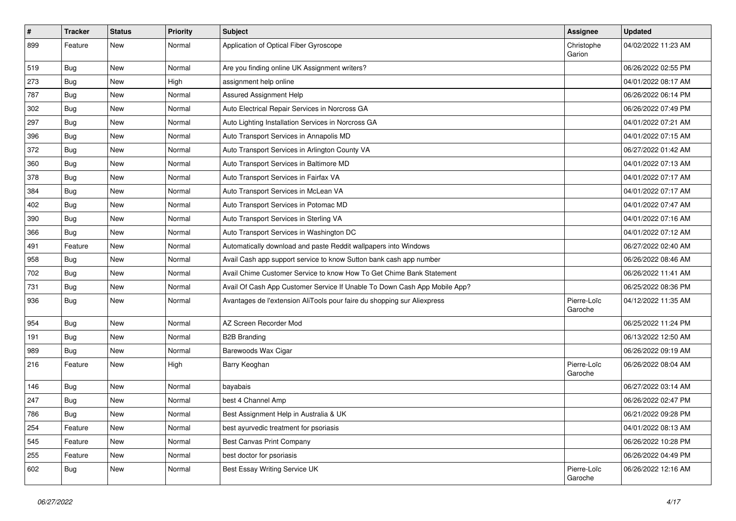| #   | <b>Tracker</b> | <b>Status</b> | <b>Priority</b> | <b>Subject</b>                                                            | Assignee               | <b>Updated</b>      |
|-----|----------------|---------------|-----------------|---------------------------------------------------------------------------|------------------------|---------------------|
| 899 | Feature        | New           | Normal          | Application of Optical Fiber Gyroscope                                    | Christophe<br>Garion   | 04/02/2022 11:23 AM |
| 519 | <b>Bug</b>     | New           | Normal          | Are you finding online UK Assignment writers?                             |                        | 06/26/2022 02:55 PM |
| 273 | <b>Bug</b>     | <b>New</b>    | High            | assignment help online                                                    |                        | 04/01/2022 08:17 AM |
| 787 | <b>Bug</b>     | <b>New</b>    | Normal          | Assured Assignment Help                                                   |                        | 06/26/2022 06:14 PM |
| 302 | Bug            | New           | Normal          | Auto Electrical Repair Services in Norcross GA                            |                        | 06/26/2022 07:49 PM |
| 297 | <b>Bug</b>     | <b>New</b>    | Normal          | Auto Lighting Installation Services in Norcross GA                        |                        | 04/01/2022 07:21 AM |
| 396 | Bug            | New           | Normal          | Auto Transport Services in Annapolis MD                                   |                        | 04/01/2022 07:15 AM |
| 372 | Bug            | New           | Normal          | Auto Transport Services in Arlington County VA                            |                        | 06/27/2022 01:42 AM |
| 360 | <b>Bug</b>     | <b>New</b>    | Normal          | Auto Transport Services in Baltimore MD                                   |                        | 04/01/2022 07:13 AM |
| 378 | <b>Bug</b>     | New           | Normal          | Auto Transport Services in Fairfax VA                                     |                        | 04/01/2022 07:17 AM |
| 384 | Bug            | <b>New</b>    | Normal          | Auto Transport Services in McLean VA                                      |                        | 04/01/2022 07:17 AM |
| 402 | Bug            | New           | Normal          | Auto Transport Services in Potomac MD                                     |                        | 04/01/2022 07:47 AM |
| 390 | Bug            | <b>New</b>    | Normal          | Auto Transport Services in Sterling VA                                    |                        | 04/01/2022 07:16 AM |
| 366 | <b>Bug</b>     | <b>New</b>    | Normal          | Auto Transport Services in Washington DC                                  |                        | 04/01/2022 07:12 AM |
| 491 | Feature        | New           | Normal          | Automatically download and paste Reddit wallpapers into Windows           |                        | 06/27/2022 02:40 AM |
| 958 | <b>Bug</b>     | New           | Normal          | Avail Cash app support service to know Sutton bank cash app number        |                        | 06/26/2022 08:46 AM |
| 702 | <b>Bug</b>     | New           | Normal          | Avail Chime Customer Service to know How To Get Chime Bank Statement      |                        | 06/26/2022 11:41 AM |
| 731 | Bug            | <b>New</b>    | Normal          | Avail Of Cash App Customer Service If Unable To Down Cash App Mobile App? |                        | 06/25/2022 08:36 PM |
| 936 | Bug            | New           | Normal          | Avantages de l'extension AliTools pour faire du shopping sur Aliexpress   | Pierre-Loïc<br>Garoche | 04/12/2022 11:35 AM |
| 954 | <b>Bug</b>     | <b>New</b>    | Normal          | AZ Screen Recorder Mod                                                    |                        | 06/25/2022 11:24 PM |
| 191 | <b>Bug</b>     | <b>New</b>    | Normal          | <b>B2B Branding</b>                                                       |                        | 06/13/2022 12:50 AM |
| 989 | <b>Bug</b>     | New           | Normal          | Barewoods Wax Cigar                                                       |                        | 06/26/2022 09:19 AM |
| 216 | Feature        | New           | High            | Barry Keoghan                                                             | Pierre-Loïc<br>Garoche | 06/26/2022 08:04 AM |
| 146 | <b>Bug</b>     | <b>New</b>    | Normal          | bayabais                                                                  |                        | 06/27/2022 03:14 AM |
| 247 | <b>Bug</b>     | <b>New</b>    | Normal          | best 4 Channel Amp                                                        |                        | 06/26/2022 02:47 PM |
| 786 | i Bug          | New           | Normal          | Best Assignment Help in Australia & UK                                    |                        | 06/21/2022 09:28 PM |
| 254 | Feature        | New           | Normal          | best ayurvedic treatment for psoriasis                                    |                        | 04/01/2022 08:13 AM |
| 545 | Feature        | New           | Normal          | <b>Best Canvas Print Company</b>                                          |                        | 06/26/2022 10:28 PM |
| 255 | Feature        | New           | Normal          | best doctor for psoriasis                                                 |                        | 06/26/2022 04:49 PM |
| 602 | <b>Bug</b>     | New           | Normal          | Best Essay Writing Service UK                                             | Pierre-Loïc<br>Garoche | 06/26/2022 12:16 AM |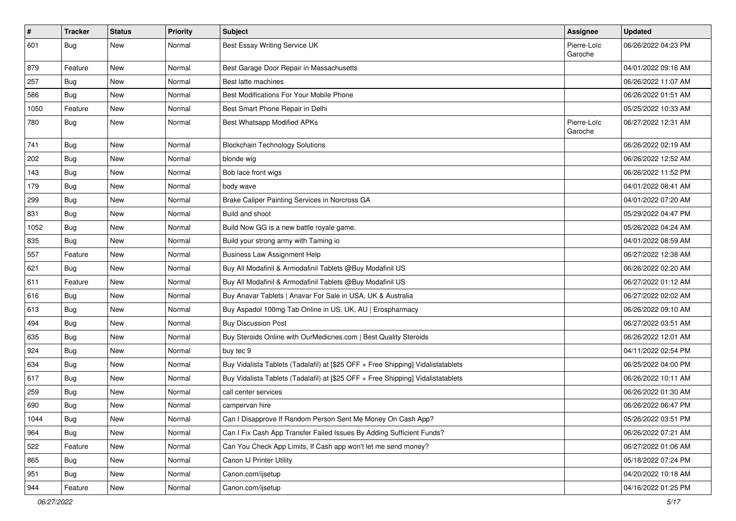| $\sharp$ | <b>Tracker</b> | <b>Status</b> | <b>Priority</b> | <b>Subject</b>                                                                   | Assignee               | <b>Updated</b>      |
|----------|----------------|---------------|-----------------|----------------------------------------------------------------------------------|------------------------|---------------------|
| 601      | <b>Bug</b>     | New           | Normal          | Best Essay Writing Service UK                                                    | Pierre-Loïc<br>Garoche | 06/26/2022 04:23 PM |
| 879      | Feature        | <b>New</b>    | Normal          | Best Garage Door Repair in Massachusetts                                         |                        | 04/01/2022 09:16 AM |
| 257      | <b>Bug</b>     | <b>New</b>    | Normal          | Best latte machines                                                              |                        | 06/26/2022 11:07 AM |
| 586      | <b>Bug</b>     | New           | Normal          | Best Modifications For Your Mobile Phone                                         |                        | 06/26/2022 01:51 AM |
| 1050     | Feature        | New           | Normal          | Best Smart Phone Repair in Delhi                                                 |                        | 05/25/2022 10:33 AM |
| 780      | Bug            | New           | Normal          | Best Whatsapp Modified APKs                                                      | Pierre-Loïc<br>Garoche | 06/27/2022 12:31 AM |
| 741      | Bug            | <b>New</b>    | Normal          | <b>Blockchain Technology Solutions</b>                                           |                        | 06/26/2022 02:19 AM |
| 202      | Bug            | <b>New</b>    | Normal          | blonde wig                                                                       |                        | 06/26/2022 12:52 AM |
| 143      | <b>Bug</b>     | New           | Normal          | Bob lace front wigs                                                              |                        | 06/26/2022 11:52 PM |
| 179      | Bug            | New           | Normal          | body wave                                                                        |                        | 04/01/2022 08:41 AM |
| 299      | <b>Bug</b>     | <b>New</b>    | Normal          | Brake Caliper Painting Services in Norcross GA                                   |                        | 04/01/2022 07:20 AM |
| 831      | Bug            | New           | Normal          | Build and shoot                                                                  |                        | 05/29/2022 04:47 PM |
| 1052     | Bug            | <b>New</b>    | Normal          | Build Now GG is a new battle royale game.                                        |                        | 05/26/2022 04:24 AM |
| 835      | <b>Bug</b>     | New           | Normal          | Build your strong army with Taming io                                            |                        | 04/01/2022 08:59 AM |
| 557      | Feature        | <b>New</b>    | Normal          | <b>Business Law Assignment Help</b>                                              |                        | 06/27/2022 12:38 AM |
| 621      | <b>Bug</b>     | <b>New</b>    | Normal          | Buy All Modafinil & Armodafinil Tablets @Buy Modafinil US                        |                        | 06/26/2022 02:20 AM |
| 611      | Feature        | New           | Normal          | Buy All Modafinil & Armodafinil Tablets @Buy Modafinil US                        |                        | 06/27/2022 01:12 AM |
| 616      | Bug            | <b>New</b>    | Normal          | Buy Anavar Tablets   Anavar For Sale in USA, UK & Australia                      |                        | 06/27/2022 02:02 AM |
| 613      | <b>Bug</b>     | New           | Normal          | Buy Aspadol 100mg Tab Online in US, UK, AU   Erospharmacy                        |                        | 06/26/2022 09:10 AM |
| 494      | Bug            | <b>New</b>    | Normal          | <b>Buy Discussion Post</b>                                                       |                        | 06/27/2022 03:51 AM |
| 635      | Bug            | <b>New</b>    | Normal          | Buy Steroids Online with OurMedicnes.com   Best Quality Steroids                 |                        | 06/26/2022 12:01 AM |
| 924      | <b>Bug</b>     | New           | Normal          | buy tec 9                                                                        |                        | 04/11/2022 02:54 PM |
| 634      | Bug            | New           | Normal          | Buy Vidalista Tablets (Tadalafil) at [\$25 OFF + Free Shipping] Vidalistatablets |                        | 06/25/2022 04:00 PM |
| 617      | <b>Bug</b>     | <b>New</b>    | Normal          | Buy Vidalista Tablets (Tadalafil) at [\$25 OFF + Free Shipping] Vidalistatablets |                        | 06/26/2022 10:11 AM |
| 259      | <b>Bug</b>     | <b>New</b>    | Normal          | call center services                                                             |                        | 06/26/2022 01:30 AM |
| 690      | <b>Bug</b>     | New           | Normal          | campervan hire                                                                   |                        | 06/26/2022 06:47 PM |
| 1044     | <b>Bug</b>     | New           | Normal          | Can I Disapprove If Random Person Sent Me Money On Cash App?                     |                        | 05/26/2022 03:51 PM |
| 964      | <b>Bug</b>     | New           | Normal          | Can I Fix Cash App Transfer Failed Issues By Adding Sufficient Funds?            |                        | 06/26/2022 07:21 AM |
| 522      | Feature        | New           | Normal          | Can You Check App Limits, If Cash app won't let me send money?                   |                        | 06/27/2022 01:06 AM |
| 865      | <b>Bug</b>     | New           | Normal          | Canon IJ Printer Utility                                                         |                        | 05/18/2022 07:24 PM |
| 951      | <b>Bug</b>     | New           | Normal          | Canon.com/ijsetup                                                                |                        | 04/20/2022 10:18 AM |
| 944      | Feature        | New           | Normal          | Canon.com/ijsetup                                                                |                        | 04/16/2022 01:25 PM |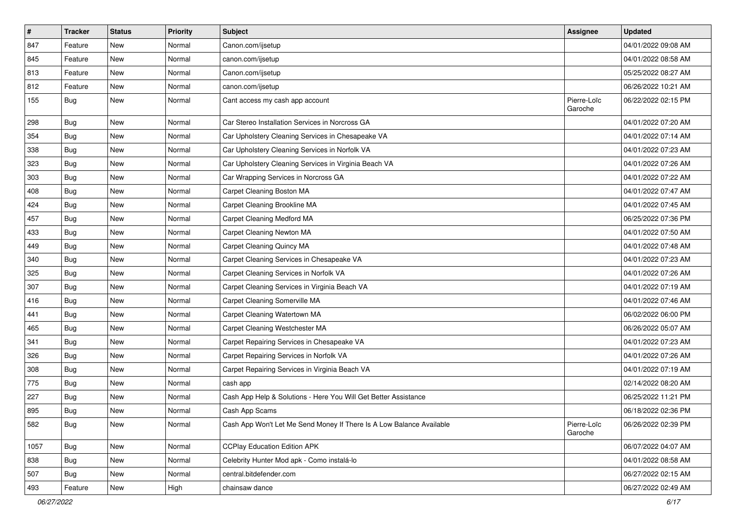| $\sharp$ | <b>Tracker</b> | <b>Status</b> | <b>Priority</b> | <b>Subject</b>                                                       | Assignee               | <b>Updated</b>      |
|----------|----------------|---------------|-----------------|----------------------------------------------------------------------|------------------------|---------------------|
| 847      | Feature        | New           | Normal          | Canon.com/ijsetup                                                    |                        | 04/01/2022 09:08 AM |
| 845      | Feature        | <b>New</b>    | Normal          | canon.com/ijsetup                                                    |                        | 04/01/2022 08:58 AM |
| 813      | Feature        | New           | Normal          | Canon.com/ijsetup                                                    |                        | 05/25/2022 08:27 AM |
| 812      | Feature        | <b>New</b>    | Normal          | canon.com/ijsetup                                                    |                        | 06/26/2022 10:21 AM |
| 155      | <b>Bug</b>     | <b>New</b>    | Normal          | Cant access my cash app account                                      | Pierre-Loïc<br>Garoche | 06/22/2022 02:15 PM |
| 298      | Bug            | <b>New</b>    | Normal          | Car Stereo Installation Services in Norcross GA                      |                        | 04/01/2022 07:20 AM |
| 354      | <b>Bug</b>     | New           | Normal          | Car Upholstery Cleaning Services in Chesapeake VA                    |                        | 04/01/2022 07:14 AM |
| 338      | Bug            | <b>New</b>    | Normal          | Car Upholstery Cleaning Services in Norfolk VA                       |                        | 04/01/2022 07:23 AM |
| 323      | Bug            | <b>New</b>    | Normal          | Car Upholstery Cleaning Services in Virginia Beach VA                |                        | 04/01/2022 07:26 AM |
| 303      | Bug            | New           | Normal          | Car Wrapping Services in Norcross GA                                 |                        | 04/01/2022 07:22 AM |
| 408      | <b>Bug</b>     | <b>New</b>    | Normal          | Carpet Cleaning Boston MA                                            |                        | 04/01/2022 07:47 AM |
| 424      | Bug            | New           | Normal          | Carpet Cleaning Brookline MA                                         |                        | 04/01/2022 07:45 AM |
| 457      | Bug            | <b>New</b>    | Normal          | Carpet Cleaning Medford MA                                           |                        | 06/25/2022 07:36 PM |
| 433      | Bug            | <b>New</b>    | Normal          | Carpet Cleaning Newton MA                                            |                        | 04/01/2022 07:50 AM |
| 449      | Bug            | New           | Normal          | Carpet Cleaning Quincy MA                                            |                        | 04/01/2022 07:48 AM |
| 340      | Bug            | New           | Normal          | Carpet Cleaning Services in Chesapeake VA                            |                        | 04/01/2022 07:23 AM |
| 325      | Bug            | <b>New</b>    | Normal          | Carpet Cleaning Services in Norfolk VA                               |                        | 04/01/2022 07:26 AM |
| 307      | Bug            | <b>New</b>    | Normal          | Carpet Cleaning Services in Virginia Beach VA                        |                        | 04/01/2022 07:19 AM |
| 416      | Bug            | <b>New</b>    | Normal          | Carpet Cleaning Somerville MA                                        |                        | 04/01/2022 07:46 AM |
| 441      | <b>Bug</b>     | New           | Normal          | Carpet Cleaning Watertown MA                                         |                        | 06/02/2022 06:00 PM |
| 465      | <b>Bug</b>     | <b>New</b>    | Normal          | Carpet Cleaning Westchester MA                                       |                        | 06/26/2022 05:07 AM |
| 341      | <b>Bug</b>     | <b>New</b>    | Normal          | Carpet Repairing Services in Chesapeake VA                           |                        | 04/01/2022 07:23 AM |
| 326      | <b>Bug</b>     | New           | Normal          | Carpet Repairing Services in Norfolk VA                              |                        | 04/01/2022 07:26 AM |
| 308      | Bug            | <b>New</b>    | Normal          | Carpet Repairing Services in Virginia Beach VA                       |                        | 04/01/2022 07:19 AM |
| 775      | <b>Bug</b>     | New           | Normal          | cash app                                                             |                        | 02/14/2022 08:20 AM |
| 227      | Bug            | <b>New</b>    | Normal          | Cash App Help & Solutions - Here You Will Get Better Assistance      |                        | 06/25/2022 11:21 PM |
| 895      | <b>Bug</b>     | <b>New</b>    | Normal          | Cash App Scams                                                       |                        | 06/18/2022 02:36 PM |
| 582      | <b>Bug</b>     | New           | Normal          | Cash App Won't Let Me Send Money If There Is A Low Balance Available | Pierre-Loïc<br>Garoche | 06/26/2022 02:39 PM |
| 1057     | <b>Bug</b>     | New           | Normal          | <b>CCPlay Education Edition APK</b>                                  |                        | 06/07/2022 04:07 AM |
| 838      | <b>Bug</b>     | New           | Normal          | Celebrity Hunter Mod apk - Como instalá-lo                           |                        | 04/01/2022 08:58 AM |
| 507      | <b>Bug</b>     | New           | Normal          | central.bitdefender.com                                              |                        | 06/27/2022 02:15 AM |
| 493      | Feature        | New           | High            | chainsaw dance                                                       |                        | 06/27/2022 02:49 AM |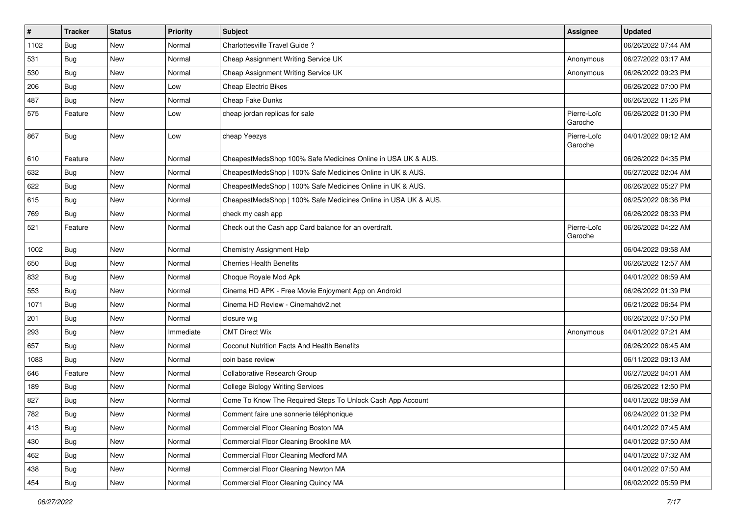| $\vert$ # | <b>Tracker</b> | <b>Status</b> | <b>Priority</b> | <b>Subject</b>                                                 | <b>Assignee</b>        | <b>Updated</b>      |
|-----------|----------------|---------------|-----------------|----------------------------------------------------------------|------------------------|---------------------|
| 1102      | Bug            | New           | Normal          | Charlottesville Travel Guide?                                  |                        | 06/26/2022 07:44 AM |
| 531       | Bug            | <b>New</b>    | Normal          | Cheap Assignment Writing Service UK                            | Anonymous              | 06/27/2022 03:17 AM |
| 530       | Bug            | New           | Normal          | Cheap Assignment Writing Service UK                            | Anonymous              | 06/26/2022 09:23 PM |
| 206       | Bug            | New           | Low             | Cheap Electric Bikes                                           |                        | 06/26/2022 07:00 PM |
| 487       | Bug            | <b>New</b>    | Normal          | Cheap Fake Dunks                                               |                        | 06/26/2022 11:26 PM |
| 575       | Feature        | <b>New</b>    | Low             | cheap jordan replicas for sale                                 | Pierre-Loïc<br>Garoche | 06/26/2022 01:30 PM |
| 867       | Bug            | <b>New</b>    | Low             | cheap Yeezys                                                   | Pierre-Loïc<br>Garoche | 04/01/2022 09:12 AM |
| 610       | Feature        | <b>New</b>    | Normal          | CheapestMedsShop 100% Safe Medicines Online in USA UK & AUS.   |                        | 06/26/2022 04:35 PM |
| 632       | Bug            | New           | Normal          | CheapestMedsShop   100% Safe Medicines Online in UK & AUS.     |                        | 06/27/2022 02:04 AM |
| 622       | Bug            | New           | Normal          | CheapestMedsShop   100% Safe Medicines Online in UK & AUS.     |                        | 06/26/2022 05:27 PM |
| 615       | Bug            | <b>New</b>    | Normal          | CheapestMedsShop   100% Safe Medicines Online in USA UK & AUS. |                        | 06/25/2022 08:36 PM |
| 769       | Bug            | <b>New</b>    | Normal          | check my cash app                                              |                        | 06/26/2022 08:33 PM |
| 521       | Feature        | New           | Normal          | Check out the Cash app Card balance for an overdraft.          | Pierre-Loïc<br>Garoche | 06/26/2022 04:22 AM |
| 1002      | Bug            | <b>New</b>    | Normal          | <b>Chemistry Assignment Help</b>                               |                        | 06/04/2022 09:58 AM |
| 650       | Bug            | <b>New</b>    | Normal          | <b>Cherries Health Benefits</b>                                |                        | 06/26/2022 12:57 AM |
| 832       | Bug            | New           | Normal          | Choque Royale Mod Apk                                          |                        | 04/01/2022 08:59 AM |
| 553       | Bug            | New           | Normal          | Cinema HD APK - Free Movie Enjoyment App on Android            |                        | 06/26/2022 01:39 PM |
| 1071      | Bug            | <b>New</b>    | Normal          | Cinema HD Review - Cinemahdv2.net                              |                        | 06/21/2022 06:54 PM |
| 201       | <b>Bug</b>     | <b>New</b>    | Normal          | closure wig                                                    |                        | 06/26/2022 07:50 PM |
| 293       | <b>Bug</b>     | New           | Immediate       | <b>CMT Direct Wix</b>                                          | Anonymous              | 04/01/2022 07:21 AM |
| 657       | Bug            | New           | Normal          | Coconut Nutrition Facts And Health Benefits                    |                        | 06/26/2022 06:45 AM |
| 1083      | Bug            | <b>New</b>    | Normal          | coin base review                                               |                        | 06/11/2022 09:13 AM |
| 646       | Feature        | <b>New</b>    | Normal          | Collaborative Research Group                                   |                        | 06/27/2022 04:01 AM |
| 189       | Bug            | New           | Normal          | <b>College Biology Writing Services</b>                        |                        | 06/26/2022 12:50 PM |
| 827       | <b>Bug</b>     | New           | Normal          | Come To Know The Required Steps To Unlock Cash App Account     |                        | 04/01/2022 08:59 AM |
| 782       | Bug            | New           | Normal          | Comment faire une sonnerie téléphonique                        |                        | 06/24/2022 01:32 PM |
| 413       | <b>Bug</b>     | New           | Normal          | Commercial Floor Cleaning Boston MA                            |                        | 04/01/2022 07:45 AM |
| 430       | <b>Bug</b>     | New           | Normal          | Commercial Floor Cleaning Brookline MA                         |                        | 04/01/2022 07:50 AM |
| 462       | <b>Bug</b>     | New           | Normal          | Commercial Floor Cleaning Medford MA                           |                        | 04/01/2022 07:32 AM |
| 438       | Bug            | New           | Normal          | Commercial Floor Cleaning Newton MA                            |                        | 04/01/2022 07:50 AM |
| 454       | Bug            | New           | Normal          | Commercial Floor Cleaning Quincy MA                            |                        | 06/02/2022 05:59 PM |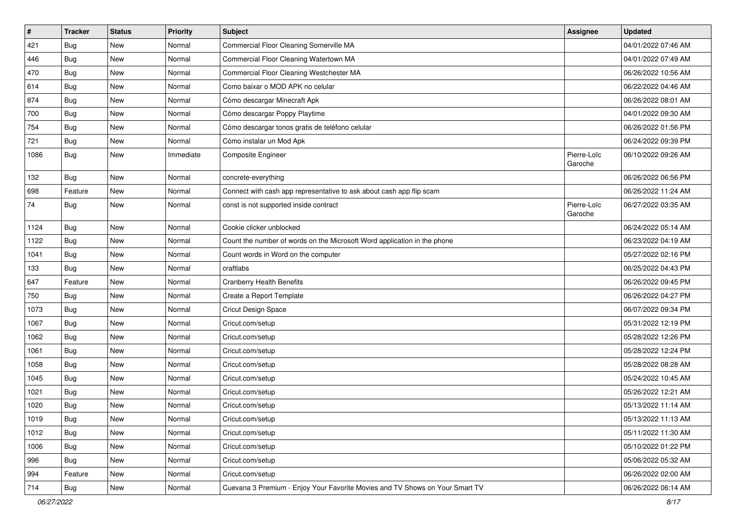| $\vert$ # | <b>Tracker</b> | <b>Status</b> | <b>Priority</b> | <b>Subject</b>                                                               | <b>Assignee</b>        | <b>Updated</b>      |
|-----------|----------------|---------------|-----------------|------------------------------------------------------------------------------|------------------------|---------------------|
| 421       | <b>Bug</b>     | <b>New</b>    | Normal          | Commercial Floor Cleaning Somerville MA                                      |                        | 04/01/2022 07:46 AM |
| 446       | Bug            | <b>New</b>    | Normal          | Commercial Floor Cleaning Watertown MA                                       |                        | 04/01/2022 07:49 AM |
| 470       | Bug            | New           | Normal          | Commercial Floor Cleaning Westchester MA                                     |                        | 06/26/2022 10:56 AM |
| 614       | <b>Bug</b>     | <b>New</b>    | Normal          | Como baixar o MOD APK no celular                                             |                        | 06/22/2022 04:46 AM |
| 874       | Bug            | <b>New</b>    | Normal          | Cómo descargar Minecraft Apk                                                 |                        | 06/26/2022 08:01 AM |
| 700       | <b>Bug</b>     | <b>New</b>    | Normal          | Cómo descargar Poppy Playtime                                                |                        | 04/01/2022 09:30 AM |
| 754       | <b>Bug</b>     | <b>New</b>    | Normal          | Cómo descargar tonos gratis de teléfono celular                              |                        | 06/26/2022 01:56 PM |
| 721       | Bug            | New           | Normal          | Cómo instalar un Mod Apk                                                     |                        | 06/24/2022 09:39 PM |
| 1086      | Bug            | New           | Immediate       | Composite Engineer                                                           | Pierre-Loïc<br>Garoche | 06/10/2022 09:26 AM |
| 132       | Bug            | <b>New</b>    | Normal          | concrete-everything                                                          |                        | 06/26/2022 06:56 PM |
| 698       | Feature        | New           | Normal          | Connect with cash app representative to ask about cash app flip scam         |                        | 06/26/2022 11:24 AM |
| 74        | Bug            | <b>New</b>    | Normal          | const is not supported inside contract                                       | Pierre-Loïc<br>Garoche | 06/27/2022 03:35 AM |
| 1124      | Bug            | New           | Normal          | Cookie clicker unblocked                                                     |                        | 06/24/2022 05:14 AM |
| 1122      | Bug            | New           | Normal          | Count the number of words on the Microsoft Word application in the phone     |                        | 06/23/2022 04:19 AM |
| 1041      | <b>Bug</b>     | <b>New</b>    | Normal          | Count words in Word on the computer                                          |                        | 05/27/2022 02:16 PM |
| 133       | Bug            | <b>New</b>    | Normal          | craftlabs                                                                    |                        | 06/25/2022 04:43 PM |
| 647       | Feature        | <b>New</b>    | Normal          | <b>Cranberry Health Benefits</b>                                             |                        | 06/26/2022 09:45 PM |
| 750       | Bug            | <b>New</b>    | Normal          | Create a Report Template                                                     |                        | 06/26/2022 04:27 PM |
| 1073      | <b>Bug</b>     | <b>New</b>    | Normal          | Cricut Design Space                                                          |                        | 06/07/2022 09:34 PM |
| 1067      | Bug            | <b>New</b>    | Normal          | Cricut.com/setup                                                             |                        | 05/31/2022 12:19 PM |
| 1062      | <b>Bug</b>     | <b>New</b>    | Normal          | Cricut.com/setup                                                             |                        | 05/28/2022 12:26 PM |
| 1061      | Bug            | New           | Normal          | Cricut.com/setup                                                             |                        | 05/28/2022 12:24 PM |
| 1058      | <b>Bug</b>     | New           | Normal          | Cricut.com/setup                                                             |                        | 05/28/2022 08:28 AM |
| 1045      | Bug            | <b>New</b>    | Normal          | Cricut.com/setup                                                             |                        | 05/24/2022 10:45 AM |
| 1021      | Bug            | <b>New</b>    | Normal          | Cricut.com/setup                                                             |                        | 05/26/2022 12:21 AM |
| 1020      | <b>Bug</b>     | <b>New</b>    | Normal          | Cricut.com/setup                                                             |                        | 05/13/2022 11:14 AM |
| 1019      | Bug            | New           | Normal          | Cricut.com/setup                                                             |                        | 05/13/2022 11:13 AM |
| 1012      | Bug            | <b>New</b>    | Normal          | Cricut.com/setup                                                             |                        | 05/11/2022 11:30 AM |
| 1006      | Bug            | New           | Normal          | Cricut.com/setup                                                             |                        | 05/10/2022 01:22 PM |
| 996       | Bug            | New           | Normal          | Cricut.com/setup                                                             |                        | 05/06/2022 05:32 AM |
| 994       | Feature        | New           | Normal          | Cricut.com/setup                                                             |                        | 06/26/2022 02:00 AM |
| 714       | <b>Bug</b>     | New           | Normal          | Cuevana 3 Premium - Enjoy Your Favorite Movies and TV Shows on Your Smart TV |                        | 06/26/2022 06:14 AM |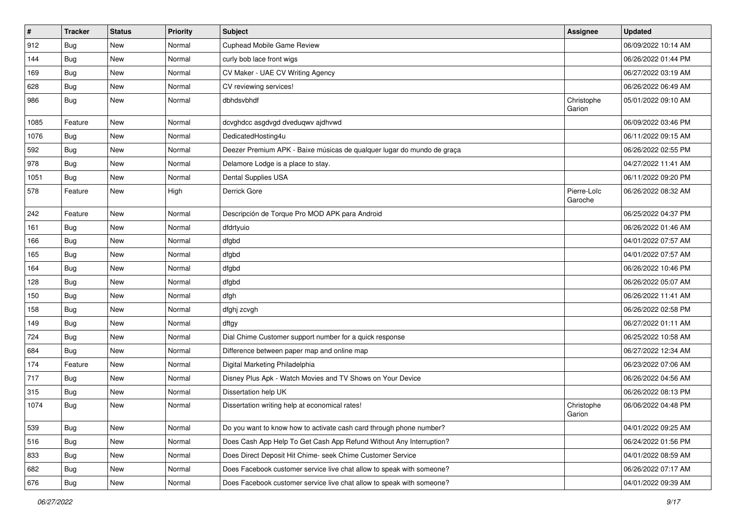| $\pmb{\#}$ | <b>Tracker</b> | <b>Status</b> | <b>Priority</b> | <b>Subject</b>                                                         | <b>Assignee</b>        | <b>Updated</b>      |
|------------|----------------|---------------|-----------------|------------------------------------------------------------------------|------------------------|---------------------|
| 912        | <b>Bug</b>     | <b>New</b>    | Normal          | Cuphead Mobile Game Review                                             |                        | 06/09/2022 10:14 AM |
| 144        | Bug            | <b>New</b>    | Normal          | curly bob lace front wigs                                              |                        | 06/26/2022 01:44 PM |
| 169        | <b>Bug</b>     | <b>New</b>    | Normal          | CV Maker - UAE CV Writing Agency                                       |                        | 06/27/2022 03:19 AM |
| 628        | <b>Bug</b>     | <b>New</b>    | Normal          | CV reviewing services!                                                 |                        | 06/26/2022 06:49 AM |
| 986        | <b>Bug</b>     | <b>New</b>    | Normal          | dbhdsvbhdf                                                             | Christophe<br>Garion   | 05/01/2022 09:10 AM |
| 1085       | Feature        | <b>New</b>    | Normal          | dcvghdcc asgdvgd dveduqwv ajdhvwd                                      |                        | 06/09/2022 03:46 PM |
| 1076       | <b>Bug</b>     | New           | Normal          | DedicatedHosting4u                                                     |                        | 06/11/2022 09:15 AM |
| 592        | <b>Bug</b>     | <b>New</b>    | Normal          | Deezer Premium APK - Baixe músicas de qualquer lugar do mundo de graça |                        | 06/26/2022 02:55 PM |
| 978        | Bug            | <b>New</b>    | Normal          | Delamore Lodge is a place to stay.                                     |                        | 04/27/2022 11:41 AM |
| 1051       | <b>Bug</b>     | <b>New</b>    | Normal          | Dental Supplies USA                                                    |                        | 06/11/2022 09:20 PM |
| 578        | Feature        | <b>New</b>    | High            | Derrick Gore                                                           | Pierre-Loïc<br>Garoche | 06/26/2022 08:32 AM |
| 242        | Feature        | <b>New</b>    | Normal          | Descripción de Torque Pro MOD APK para Android                         |                        | 06/25/2022 04:37 PM |
| 161        | <b>Bug</b>     | <b>New</b>    | Normal          | dfdrtyuio                                                              |                        | 06/26/2022 01:46 AM |
| 166        | <b>Bug</b>     | New           | Normal          | dfgbd                                                                  |                        | 04/01/2022 07:57 AM |
| 165        | <b>Bug</b>     | <b>New</b>    | Normal          | dfgbd                                                                  |                        | 04/01/2022 07:57 AM |
| 164        | <b>Bug</b>     | <b>New</b>    | Normal          | dfgbd                                                                  |                        | 06/26/2022 10:46 PM |
| 128        | Bug            | <b>New</b>    | Normal          | dfgbd                                                                  |                        | 06/26/2022 05:07 AM |
| 150        | <b>Bug</b>     | <b>New</b>    | Normal          | dfgh                                                                   |                        | 06/26/2022 11:41 AM |
| 158        | <b>Bug</b>     | <b>New</b>    | Normal          | dfghj zcvgh                                                            |                        | 06/26/2022 02:58 PM |
| 149        | <b>Bug</b>     | <b>New</b>    | Normal          | dftgy                                                                  |                        | 06/27/2022 01:11 AM |
| 724        | <b>Bug</b>     | <b>New</b>    | Normal          | Dial Chime Customer support number for a quick response                |                        | 06/25/2022 10:58 AM |
| 684        | <b>Bug</b>     | <b>New</b>    | Normal          | Difference between paper map and online map                            |                        | 06/27/2022 12:34 AM |
| 174        | Feature        | <b>New</b>    | Normal          | Digital Marketing Philadelphia                                         |                        | 06/23/2022 07:06 AM |
| 717        | <b>Bug</b>     | <b>New</b>    | Normal          | Disney Plus Apk - Watch Movies and TV Shows on Your Device             |                        | 06/26/2022 04:56 AM |
| 315        | <b>Bug</b>     | <b>New</b>    | Normal          | Dissertation help UK                                                   |                        | 06/26/2022 08:13 PM |
| 1074       | <b>Bug</b>     | <b>New</b>    | Normal          | Dissertation writing help at economical rates!                         | Christophe<br>Garion   | 06/06/2022 04:48 PM |
| 539        | <b>Bug</b>     | New           | Normal          | Do you want to know how to activate cash card through phone number?    |                        | 04/01/2022 09:25 AM |
| 516        | <b>Bug</b>     | New           | Normal          | Does Cash App Help To Get Cash App Refund Without Any Interruption?    |                        | 06/24/2022 01:56 PM |
| 833        | <b>Bug</b>     | New           | Normal          | Does Direct Deposit Hit Chime- seek Chime Customer Service             |                        | 04/01/2022 08:59 AM |
| 682        | Bug            | New           | Normal          | Does Facebook customer service live chat allow to speak with someone?  |                        | 06/26/2022 07:17 AM |
| 676        | Bug            | New           | Normal          | Does Facebook customer service live chat allow to speak with someone?  |                        | 04/01/2022 09:39 AM |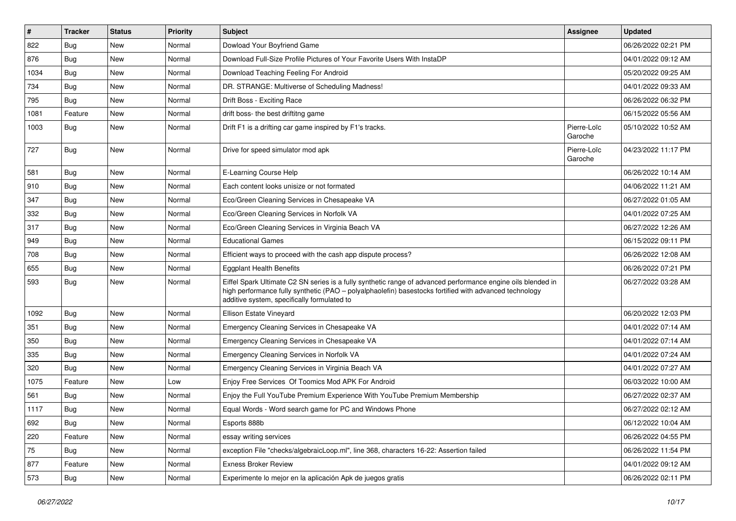| $\vert$ # | <b>Tracker</b> | <b>Status</b> | <b>Priority</b> | <b>Subject</b>                                                                                                                                                                                                                                                        | <b>Assignee</b>        | <b>Updated</b>      |
|-----------|----------------|---------------|-----------------|-----------------------------------------------------------------------------------------------------------------------------------------------------------------------------------------------------------------------------------------------------------------------|------------------------|---------------------|
| 822       | Bug            | New           | Normal          | Dowload Your Boyfriend Game                                                                                                                                                                                                                                           |                        | 06/26/2022 02:21 PM |
| 876       | Bug            | <b>New</b>    | Normal          | Download Full-Size Profile Pictures of Your Favorite Users With InstaDP                                                                                                                                                                                               |                        | 04/01/2022 09:12 AM |
| 1034      | Bug            | New           | Normal          | Download Teaching Feeling For Android                                                                                                                                                                                                                                 |                        | 05/20/2022 09:25 AM |
| 734       | <b>Bug</b>     | New           | Normal          | DR. STRANGE: Multiverse of Scheduling Madness!                                                                                                                                                                                                                        |                        | 04/01/2022 09:33 AM |
| 795       | Bug            | <b>New</b>    | Normal          | Drift Boss - Exciting Race                                                                                                                                                                                                                                            |                        | 06/26/2022 06:32 PM |
| 1081      | Feature        | New           | Normal          | drift boss- the best driftitng game                                                                                                                                                                                                                                   |                        | 06/15/2022 05:56 AM |
| 1003      | Bug            | New           | Normal          | Drift F1 is a drifting car game inspired by F1's tracks.                                                                                                                                                                                                              | Pierre-Loïc<br>Garoche | 05/10/2022 10:52 AM |
| 727       | Bug            | New           | Normal          | Drive for speed simulator mod apk                                                                                                                                                                                                                                     | Pierre-Loïc<br>Garoche | 04/23/2022 11:17 PM |
| 581       | Bug            | New           | Normal          | E-Learning Course Help                                                                                                                                                                                                                                                |                        | 06/26/2022 10:14 AM |
| 910       | Bug            | New           | Normal          | Each content looks unisize or not formated                                                                                                                                                                                                                            |                        | 04/06/2022 11:21 AM |
| 347       | Bug            | <b>New</b>    | Normal          | Eco/Green Cleaning Services in Chesapeake VA                                                                                                                                                                                                                          |                        | 06/27/2022 01:05 AM |
| 332       | Bug            | New           | Normal          | Eco/Green Cleaning Services in Norfolk VA                                                                                                                                                                                                                             |                        | 04/01/2022 07:25 AM |
| 317       | Bug            | New           | Normal          | Eco/Green Cleaning Services in Virginia Beach VA                                                                                                                                                                                                                      |                        | 06/27/2022 12:26 AM |
| 949       | Bug            | New           | Normal          | <b>Educational Games</b>                                                                                                                                                                                                                                              |                        | 06/15/2022 09:11 PM |
| 708       | <b>Bug</b>     | <b>New</b>    | Normal          | Efficient ways to proceed with the cash app dispute process?                                                                                                                                                                                                          |                        | 06/26/2022 12:08 AM |
| 655       | Bug            | <b>New</b>    | Normal          | <b>Eggplant Health Benefits</b>                                                                                                                                                                                                                                       |                        | 06/26/2022 07:21 PM |
| 593       | <b>Bug</b>     | New           | Normal          | Eiffel Spark Ultimate C2 SN series is a fully synthetic range of advanced performance engine oils blended in<br>high performance fully synthetic (PAO - polyalphaolefin) basestocks fortified with advanced technology<br>additive system, specifically formulated to |                        | 06/27/2022 03:28 AM |
| 1092      | Bug            | <b>New</b>    | Normal          | Ellison Estate Vineyard                                                                                                                                                                                                                                               |                        | 06/20/2022 12:03 PM |
| 351       | Bug            | New           | Normal          | Emergency Cleaning Services in Chesapeake VA                                                                                                                                                                                                                          |                        | 04/01/2022 07:14 AM |
| 350       | Bug            | New           | Normal          | Emergency Cleaning Services in Chesapeake VA                                                                                                                                                                                                                          |                        | 04/01/2022 07:14 AM |
| 335       | Bug            | New           | Normal          | Emergency Cleaning Services in Norfolk VA                                                                                                                                                                                                                             |                        | 04/01/2022 07:24 AM |
| 320       | Bug            | <b>New</b>    | Normal          | Emergency Cleaning Services in Virginia Beach VA                                                                                                                                                                                                                      |                        | 04/01/2022 07:27 AM |
| 1075      | Feature        | <b>New</b>    | Low             | Enjoy Free Services Of Toomics Mod APK For Android                                                                                                                                                                                                                    |                        | 06/03/2022 10:00 AM |
| 561       | Bug            | New           | Normal          | Enjoy the Full YouTube Premium Experience With YouTube Premium Membership                                                                                                                                                                                             |                        | 06/27/2022 02:37 AM |
| 1117      | Bug            | <b>New</b>    | Normal          | Equal Words - Word search game for PC and Windows Phone                                                                                                                                                                                                               |                        | 06/27/2022 02:12 AM |
| 692       | <b>Bug</b>     | New           | Normal          | Esports 888b                                                                                                                                                                                                                                                          |                        | 06/12/2022 10:04 AM |
| 220       | Feature        | New           | Normal          | essay writing services                                                                                                                                                                                                                                                |                        | 06/26/2022 04:55 PM |
| 75        | <b>Bug</b>     | New           | Normal          | exception File "checks/algebraicLoop.ml", line 368, characters 16-22: Assertion failed                                                                                                                                                                                |                        | 06/26/2022 11:54 PM |
| 877       | Feature        | New           | Normal          | <b>Exness Broker Review</b>                                                                                                                                                                                                                                           |                        | 04/01/2022 09:12 AM |
| 573       | <b>Bug</b>     | New           | Normal          | Experimente lo mejor en la aplicación Apk de juegos gratis                                                                                                                                                                                                            |                        | 06/26/2022 02:11 PM |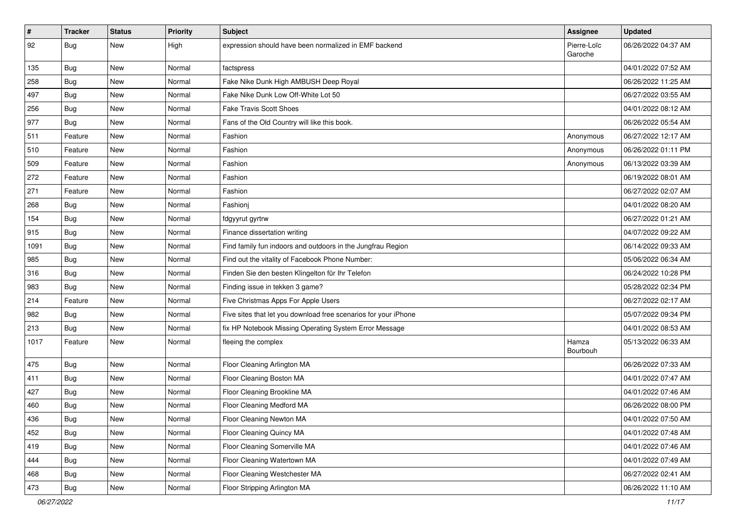| $\vert$ # | <b>Tracker</b> | <b>Status</b> | <b>Priority</b> | <b>Subject</b>                                                  | Assignee               | <b>Updated</b>      |
|-----------|----------------|---------------|-----------------|-----------------------------------------------------------------|------------------------|---------------------|
| 92        | Bug            | New           | High            | expression should have been normalized in EMF backend           | Pierre-Loïc<br>Garoche | 06/26/2022 04:37 AM |
| 135       | Bug            | <b>New</b>    | Normal          | factspress                                                      |                        | 04/01/2022 07:52 AM |
| 258       | <b>Bug</b>     | New           | Normal          | Fake Nike Dunk High AMBUSH Deep Royal                           |                        | 06/26/2022 11:25 AM |
| 497       | Bug            | New           | Normal          | Fake Nike Dunk Low Off-White Lot 50                             |                        | 06/27/2022 03:55 AM |
| 256       | <b>Bug</b>     | <b>New</b>    | Normal          | <b>Fake Travis Scott Shoes</b>                                  |                        | 04/01/2022 08:12 AM |
| 977       | Bug            | <b>New</b>    | Normal          | Fans of the Old Country will like this book.                    |                        | 06/26/2022 05:54 AM |
| 511       | Feature        | <b>New</b>    | Normal          | Fashion                                                         | Anonymous              | 06/27/2022 12:17 AM |
| 510       | Feature        | <b>New</b>    | Normal          | Fashion                                                         | Anonymous              | 06/26/2022 01:11 PM |
| 509       | Feature        | <b>New</b>    | Normal          | Fashion                                                         | Anonymous              | 06/13/2022 03:39 AM |
| 272       | Feature        | New           | Normal          | Fashion                                                         |                        | 06/19/2022 08:01 AM |
| 271       | Feature        | New           | Normal          | Fashion                                                         |                        | 06/27/2022 02:07 AM |
| 268       | <b>Bug</b>     | <b>New</b>    | Normal          | Fashionj                                                        |                        | 04/01/2022 08:20 AM |
| 154       | <b>Bug</b>     | <b>New</b>    | Normal          | fdgyyrut gyrtrw                                                 |                        | 06/27/2022 01:21 AM |
| 915       | <b>Bug</b>     | <b>New</b>    | Normal          | Finance dissertation writing                                    |                        | 04/07/2022 09:22 AM |
| 1091      | Bug            | New           | Normal          | Find family fun indoors and outdoors in the Jungfrau Region     |                        | 06/14/2022 09:33 AM |
| 985       | <b>Bug</b>     | New           | Normal          | Find out the vitality of Facebook Phone Number:                 |                        | 05/06/2022 06:34 AM |
| 316       | Bug            | <b>New</b>    | Normal          | Finden Sie den besten Klingelton für Ihr Telefon                |                        | 06/24/2022 10:28 PM |
| 983       | Bug            | <b>New</b>    | Normal          | Finding issue in tekken 3 game?                                 |                        | 05/28/2022 02:34 PM |
| 214       | Feature        | <b>New</b>    | Normal          | Five Christmas Apps For Apple Users                             |                        | 06/27/2022 02:17 AM |
| 982       | Bug            | <b>New</b>    | Normal          | Five sites that let you download free scenarios for your iPhone |                        | 05/07/2022 09:34 PM |
| 213       | Bug            | <b>New</b>    | Normal          | fix HP Notebook Missing Operating System Error Message          |                        | 04/01/2022 08:53 AM |
| 1017      | Feature        | <b>New</b>    | Normal          | fleeing the complex                                             | Hamza<br>Bourbouh      | 05/13/2022 06:33 AM |
| 475       | <b>Bug</b>     | <b>New</b>    | Normal          | Floor Cleaning Arlington MA                                     |                        | 06/26/2022 07:33 AM |
| 411       | Bug            | <b>New</b>    | Normal          | Floor Cleaning Boston MA                                        |                        | 04/01/2022 07:47 AM |
| 427       | Bug            | <b>New</b>    | Normal          | Floor Cleaning Brookline MA                                     |                        | 04/01/2022 07:46 AM |
| 460       | <b>Bug</b>     | <b>New</b>    | Normal          | Floor Cleaning Medford MA                                       |                        | 06/26/2022 08:00 PM |
| 436       | <b>Bug</b>     | New           | Normal          | Floor Cleaning Newton MA                                        |                        | 04/01/2022 07:50 AM |
| 452       | <b>Bug</b>     | <b>New</b>    | Normal          | Floor Cleaning Quincy MA                                        |                        | 04/01/2022 07:48 AM |
| 419       | Bug            | New           | Normal          | Floor Cleaning Somerville MA                                    |                        | 04/01/2022 07:46 AM |
| 444       | <b>Bug</b>     | New           | Normal          | Floor Cleaning Watertown MA                                     |                        | 04/01/2022 07:49 AM |
| 468       | <b>Bug</b>     | New           | Normal          | Floor Cleaning Westchester MA                                   |                        | 06/27/2022 02:41 AM |
| 473       | <b>Bug</b>     | New           | Normal          | Floor Stripping Arlington MA                                    |                        | 06/26/2022 11:10 AM |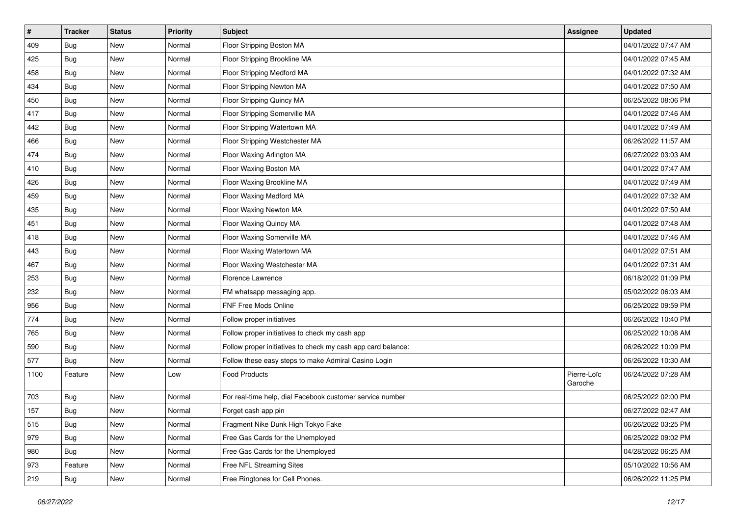| $\sharp$ | <b>Tracker</b> | <b>Status</b> | <b>Priority</b> | Subject                                                      | <b>Assignee</b>        | <b>Updated</b>      |
|----------|----------------|---------------|-----------------|--------------------------------------------------------------|------------------------|---------------------|
| 409      | Bug            | New           | Normal          | Floor Stripping Boston MA                                    |                        | 04/01/2022 07:47 AM |
| 425      | Bug            | <b>New</b>    | Normal          | Floor Stripping Brookline MA                                 |                        | 04/01/2022 07:45 AM |
| 458      | <b>Bug</b>     | New           | Normal          | Floor Stripping Medford MA                                   |                        | 04/01/2022 07:32 AM |
| 434      | Bug            | <b>New</b>    | Normal          | Floor Stripping Newton MA                                    |                        | 04/01/2022 07:50 AM |
| 450      | <b>Bug</b>     | <b>New</b>    | Normal          | Floor Stripping Quincy MA                                    |                        | 06/25/2022 08:06 PM |
| 417      | Bug            | New           | Normal          | Floor Stripping Somerville MA                                |                        | 04/01/2022 07:46 AM |
| 442      | Bug            | <b>New</b>    | Normal          | Floor Stripping Watertown MA                                 |                        | 04/01/2022 07:49 AM |
| 466      | <b>Bug</b>     | New           | Normal          | Floor Stripping Westchester MA                               |                        | 06/26/2022 11:57 AM |
| 474      | <b>Bug</b>     | <b>New</b>    | Normal          | Floor Waxing Arlington MA                                    |                        | 06/27/2022 03:03 AM |
| 410      | Bug            | <b>New</b>    | Normal          | Floor Waxing Boston MA                                       |                        | 04/01/2022 07:47 AM |
| 426      | Bug            | New           | Normal          | Floor Waxing Brookline MA                                    |                        | 04/01/2022 07:49 AM |
| 459      | <b>Bug</b>     | New           | Normal          | Floor Waxing Medford MA                                      |                        | 04/01/2022 07:32 AM |
| 435      | <b>Bug</b>     | New           | Normal          | Floor Waxing Newton MA                                       |                        | 04/01/2022 07:50 AM |
| 451      | <b>Bug</b>     | <b>New</b>    | Normal          | Floor Waxing Quincy MA                                       |                        | 04/01/2022 07:48 AM |
| 418      | Bug            | <b>New</b>    | Normal          | Floor Waxing Somerville MA                                   |                        | 04/01/2022 07:46 AM |
| 443      | <b>Bug</b>     | New           | Normal          | Floor Waxing Watertown MA                                    |                        | 04/01/2022 07:51 AM |
| 467      | Bug            | New           | Normal          | Floor Waxing Westchester MA                                  |                        | 04/01/2022 07:31 AM |
| 253      | <b>Bug</b>     | <b>New</b>    | Normal          | Florence Lawrence                                            |                        | 06/18/2022 01:09 PM |
| 232      | <b>Bug</b>     | <b>New</b>    | Normal          | FM whatsapp messaging app.                                   |                        | 05/02/2022 06:03 AM |
| 956      | <b>Bug</b>     | <b>New</b>    | Normal          | FNF Free Mods Online                                         |                        | 06/25/2022 09:59 PM |
| 774      | Bug            | New           | Normal          | Follow proper initiatives                                    |                        | 06/26/2022 10:40 PM |
| 765      | Bug            | <b>New</b>    | Normal          | Follow proper initiatives to check my cash app               |                        | 06/25/2022 10:08 AM |
| 590      | Bug            | <b>New</b>    | Normal          | Follow proper initiatives to check my cash app card balance: |                        | 06/26/2022 10:09 PM |
| 577      | <b>Bug</b>     | New           | Normal          | Follow these easy steps to make Admiral Casino Login         |                        | 06/26/2022 10:30 AM |
| 1100     | Feature        | New           | Low             | <b>Food Products</b>                                         | Pierre-Loïc<br>Garoche | 06/24/2022 07:28 AM |
| 703      | Bug            | <b>New</b>    | Normal          | For real-time help, dial Facebook customer service number    |                        | 06/25/2022 02:00 PM |
| 157      | <b>Bug</b>     | New           | Normal          | Forget cash app pin                                          |                        | 06/27/2022 02:47 AM |
| 515      | <b>Bug</b>     | New           | Normal          | Fragment Nike Dunk High Tokyo Fake                           |                        | 06/26/2022 03:25 PM |
| 979      | <b>Bug</b>     | New           | Normal          | Free Gas Cards for the Unemployed                            |                        | 06/25/2022 09:02 PM |
| 980      | <b>Bug</b>     | New           | Normal          | Free Gas Cards for the Unemployed                            |                        | 04/28/2022 06:25 AM |
| 973      | Feature        | New           | Normal          | Free NFL Streaming Sites                                     |                        | 05/10/2022 10:56 AM |
| 219      | <b>Bug</b>     | New           | Normal          | Free Ringtones for Cell Phones.                              |                        | 06/26/2022 11:25 PM |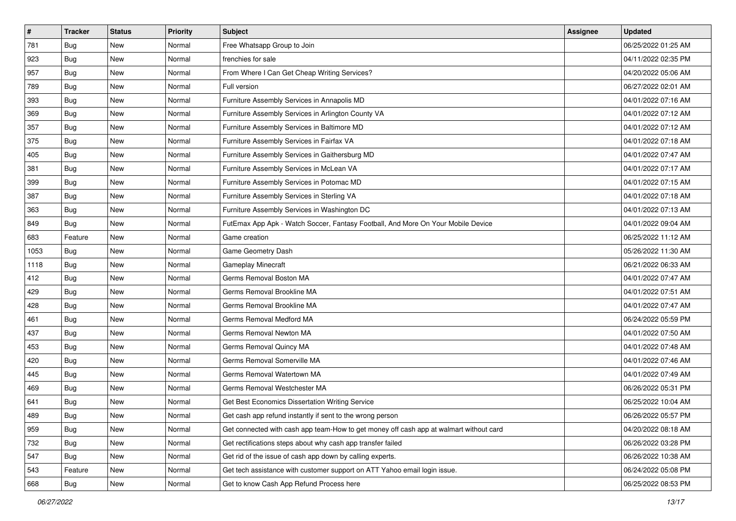| #    | <b>Tracker</b> | <b>Status</b> | <b>Priority</b> | <b>Subject</b>                                                                         | <b>Assignee</b> | <b>Updated</b>      |
|------|----------------|---------------|-----------------|----------------------------------------------------------------------------------------|-----------------|---------------------|
| 781  | Bug            | New           | Normal          | Free Whatsapp Group to Join                                                            |                 | 06/25/2022 01:25 AM |
| 923  | Bug            | <b>New</b>    | Normal          | frenchies for sale                                                                     |                 | 04/11/2022 02:35 PM |
| 957  | Bug            | New           | Normal          | From Where I Can Get Cheap Writing Services?                                           |                 | 04/20/2022 05:06 AM |
| 789  | Bug            | New           | Normal          | Full version                                                                           |                 | 06/27/2022 02:01 AM |
| 393  | Bug            | <b>New</b>    | Normal          | Furniture Assembly Services in Annapolis MD                                            |                 | 04/01/2022 07:16 AM |
| 369  | Bug            | New           | Normal          | Furniture Assembly Services in Arlington County VA                                     |                 | 04/01/2022 07:12 AM |
| 357  | Bug            | New           | Normal          | Furniture Assembly Services in Baltimore MD                                            |                 | 04/01/2022 07:12 AM |
| 375  | Bug            | New           | Normal          | Furniture Assembly Services in Fairfax VA                                              |                 | 04/01/2022 07:18 AM |
| 405  | Bug            | <b>New</b>    | Normal          | Furniture Assembly Services in Gaithersburg MD                                         |                 | 04/01/2022 07:47 AM |
| 381  | Bug            | <b>New</b>    | Normal          | Furniture Assembly Services in McLean VA                                               |                 | 04/01/2022 07:17 AM |
| 399  | <b>Bug</b>     | New           | Normal          | Furniture Assembly Services in Potomac MD                                              |                 | 04/01/2022 07:15 AM |
| 387  | Bug            | New           | Normal          | Furniture Assembly Services in Sterling VA                                             |                 | 04/01/2022 07:18 AM |
| 363  | Bug            | New           | Normal          | Furniture Assembly Services in Washington DC                                           |                 | 04/01/2022 07:13 AM |
| 849  | <b>Bug</b>     | <b>New</b>    | Normal          | FutEmax App Apk - Watch Soccer, Fantasy Football, And More On Your Mobile Device       |                 | 04/01/2022 09:04 AM |
| 683  | Feature        | <b>New</b>    | Normal          | Game creation                                                                          |                 | 06/25/2022 11:12 AM |
| 1053 | Bug            | New           | Normal          | Game Geometry Dash                                                                     |                 | 05/26/2022 11:30 AM |
| 1118 | Bug            | New           | Normal          | Gameplay Minecraft                                                                     |                 | 06/21/2022 06:33 AM |
| 412  | Bug            | New           | Normal          | Germs Removal Boston MA                                                                |                 | 04/01/2022 07:47 AM |
| 429  | Bug            | New           | Normal          | Germs Removal Brookline MA                                                             |                 | 04/01/2022 07:51 AM |
| 428  | Bug            | <b>New</b>    | Normal          | Germs Removal Brookline MA                                                             |                 | 04/01/2022 07:47 AM |
| 461  | Bug            | New           | Normal          | Germs Removal Medford MA                                                               |                 | 06/24/2022 05:59 PM |
| 437  | <b>Bug</b>     | <b>New</b>    | Normal          | Germs Removal Newton MA                                                                |                 | 04/01/2022 07:50 AM |
| 453  | Bug            | <b>New</b>    | Normal          | Germs Removal Quincy MA                                                                |                 | 04/01/2022 07:48 AM |
| 420  | <b>Bug</b>     | New           | Normal          | Germs Removal Somerville MA                                                            |                 | 04/01/2022 07:46 AM |
| 445  | Bug            | New           | Normal          | Germs Removal Watertown MA                                                             |                 | 04/01/2022 07:49 AM |
| 469  | Bug            | New           | Normal          | Germs Removal Westchester MA                                                           |                 | 06/26/2022 05:31 PM |
| 641  | <b>Bug</b>     | New           | Normal          | Get Best Economics Dissertation Writing Service                                        |                 | 06/25/2022 10:04 AM |
| 489  | <b>Bug</b>     | New           | Normal          | Get cash app refund instantly if sent to the wrong person                              |                 | 06/26/2022 05:57 PM |
| 959  | <b>Bug</b>     | New           | Normal          | Get connected with cash app team-How to get money off cash app at walmart without card |                 | 04/20/2022 08:18 AM |
| 732  | Bug            | New           | Normal          | Get rectifications steps about why cash app transfer failed                            |                 | 06/26/2022 03:28 PM |
| 547  | Bug            | New           | Normal          | Get rid of the issue of cash app down by calling experts.                              |                 | 06/26/2022 10:38 AM |
| 543  | Feature        | New           | Normal          | Get tech assistance with customer support on ATT Yahoo email login issue.              |                 | 06/24/2022 05:08 PM |
| 668  | Bug            | New           | Normal          | Get to know Cash App Refund Process here                                               |                 | 06/25/2022 08:53 PM |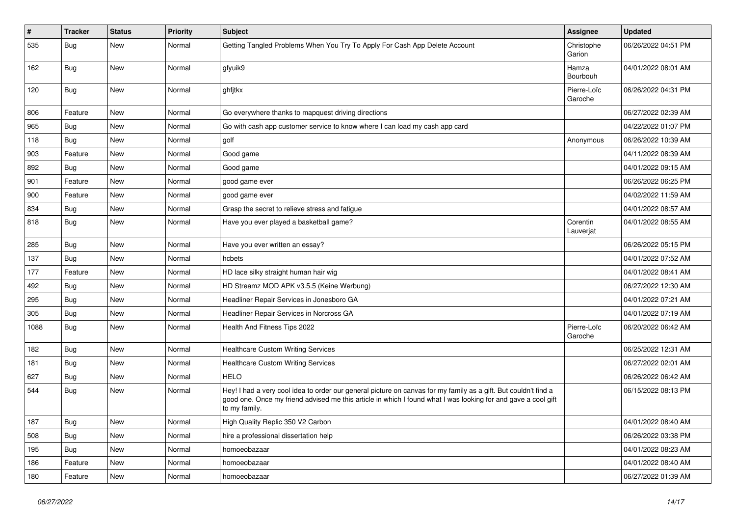| $\vert$ # | <b>Tracker</b> | <b>Status</b> | <b>Priority</b> | <b>Subject</b>                                                                                                                                                                                                                                    | Assignee               | <b>Updated</b>      |
|-----------|----------------|---------------|-----------------|---------------------------------------------------------------------------------------------------------------------------------------------------------------------------------------------------------------------------------------------------|------------------------|---------------------|
| 535       | Bug            | New           | Normal          | Getting Tangled Problems When You Try To Apply For Cash App Delete Account                                                                                                                                                                        | Christophe<br>Garion   | 06/26/2022 04:51 PM |
| 162       | Bug            | <b>New</b>    | Normal          | gfyuik9                                                                                                                                                                                                                                           | Hamza<br>Bourbouh      | 04/01/2022 08:01 AM |
| 120       | Bug            | <b>New</b>    | Normal          | ghfjtkx                                                                                                                                                                                                                                           | Pierre-Loïc<br>Garoche | 06/26/2022 04:31 PM |
| 806       | Feature        | <b>New</b>    | Normal          | Go everywhere thanks to mapquest driving directions                                                                                                                                                                                               |                        | 06/27/2022 02:39 AM |
| 965       | <b>Bug</b>     | <b>New</b>    | Normal          | Go with cash app customer service to know where I can load my cash app card                                                                                                                                                                       |                        | 04/22/2022 01:07 PM |
| 118       | Bug            | <b>New</b>    | Normal          | golf                                                                                                                                                                                                                                              | Anonymous              | 06/26/2022 10:39 AM |
| 903       | Feature        | <b>New</b>    | Normal          | Good game                                                                                                                                                                                                                                         |                        | 04/11/2022 08:39 AM |
| 892       | <b>Bug</b>     | New           | Normal          | Good game                                                                                                                                                                                                                                         |                        | 04/01/2022 09:15 AM |
| 901       | Feature        | <b>New</b>    | Normal          | good game ever                                                                                                                                                                                                                                    |                        | 06/26/2022 06:25 PM |
| 900       | Feature        | <b>New</b>    | Normal          | good game ever                                                                                                                                                                                                                                    |                        | 04/02/2022 11:59 AM |
| 834       | <b>Bug</b>     | New           | Normal          | Grasp the secret to relieve stress and fatigue                                                                                                                                                                                                    |                        | 04/01/2022 08:57 AM |
| 818       | Bug            | <b>New</b>    | Normal          | Have you ever played a basketball game?                                                                                                                                                                                                           | Corentin<br>Lauverjat  | 04/01/2022 08:55 AM |
| 285       | Bug            | <b>New</b>    | Normal          | Have you ever written an essay?                                                                                                                                                                                                                   |                        | 06/26/2022 05:15 PM |
| 137       | Bug            | <b>New</b>    | Normal          | hcbets                                                                                                                                                                                                                                            |                        | 04/01/2022 07:52 AM |
| 177       | Feature        | New           | Normal          | HD lace silky straight human hair wig                                                                                                                                                                                                             |                        | 04/01/2022 08:41 AM |
| 492       | <b>Bug</b>     | New           | Normal          | HD Streamz MOD APK v3.5.5 (Keine Werbung)                                                                                                                                                                                                         |                        | 06/27/2022 12:30 AM |
| 295       | <b>Bug</b>     | <b>New</b>    | Normal          | Headliner Repair Services in Jonesboro GA                                                                                                                                                                                                         |                        | 04/01/2022 07:21 AM |
| 305       | <b>Bug</b>     | New           | Normal          | Headliner Repair Services in Norcross GA                                                                                                                                                                                                          |                        | 04/01/2022 07:19 AM |
| 1088      | Bug            | <b>New</b>    | Normal          | Health And Fitness Tips 2022                                                                                                                                                                                                                      | Pierre-Loïc<br>Garoche | 06/20/2022 06:42 AM |
| 182       | Bug            | <b>New</b>    | Normal          | <b>Healthcare Custom Writing Services</b>                                                                                                                                                                                                         |                        | 06/25/2022 12:31 AM |
| 181       | Bug            | <b>New</b>    | Normal          | <b>Healthcare Custom Writing Services</b>                                                                                                                                                                                                         |                        | 06/27/2022 02:01 AM |
| 627       | <b>Bug</b>     | <b>New</b>    | Normal          | <b>HELO</b>                                                                                                                                                                                                                                       |                        | 06/26/2022 06:42 AM |
| 544       | Bug            | New           | Normal          | Hey! I had a very cool idea to order our general picture on canvas for my family as a gift. But couldn't find a<br>good one. Once my friend advised me this article in which I found what I was looking for and gave a cool gift<br>to my family. |                        | 06/15/2022 08:13 PM |
| 187       | <b>Bug</b>     | New           | Normal          | High Quality Replic 350 V2 Carbon                                                                                                                                                                                                                 |                        | 04/01/2022 08:40 AM |
| 508       | Bug            | New           | Normal          | hire a professional dissertation help                                                                                                                                                                                                             |                        | 06/26/2022 03:38 PM |
| 195       | Bug            | New           | Normal          | homoeobazaar                                                                                                                                                                                                                                      |                        | 04/01/2022 08:23 AM |
| 186       | Feature        | New           | Normal          | homoeobazaar                                                                                                                                                                                                                                      |                        | 04/01/2022 08:40 AM |
| 180       | Feature        | New           | Normal          | homoeobazaar                                                                                                                                                                                                                                      |                        | 06/27/2022 01:39 AM |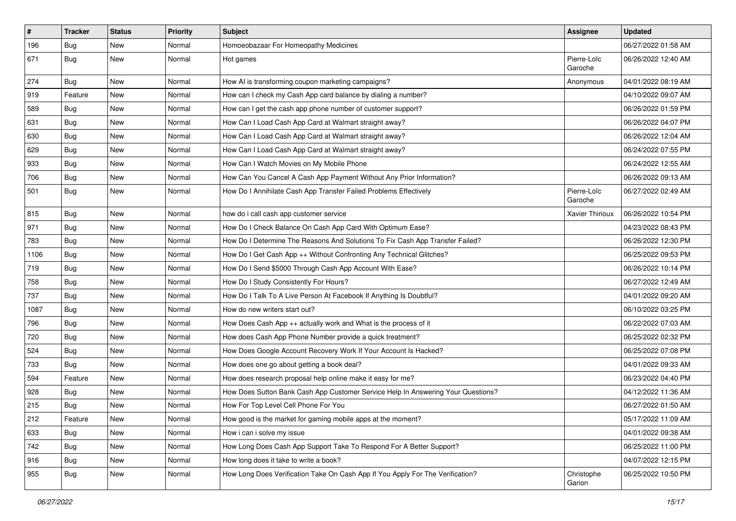| $\vert$ # | <b>Tracker</b> | <b>Status</b> | <b>Priority</b> | <b>Subject</b>                                                                   | Assignee               | <b>Updated</b>      |
|-----------|----------------|---------------|-----------------|----------------------------------------------------------------------------------|------------------------|---------------------|
| 196       | Bug            | New           | Normal          | Homoeobazaar For Homeopathy Medicines                                            |                        | 06/27/2022 01:58 AM |
| 671       | Bug            | New           | Normal          | Hot games                                                                        | Pierre-Loïc<br>Garoche | 06/26/2022 12:40 AM |
| 274       | Bug            | <b>New</b>    | Normal          | How AI is transforming coupon marketing campaigns?                               | Anonymous              | 04/01/2022 08:19 AM |
| 919       | Feature        | <b>New</b>    | Normal          | How can I check my Cash App card balance by dialing a number?                    |                        | 04/10/2022 09:07 AM |
| 589       | Bug            | New           | Normal          | How can I get the cash app phone number of customer support?                     |                        | 06/26/2022 01:59 PM |
| 631       | Bug            | New           | Normal          | How Can I Load Cash App Card at Walmart straight away?                           |                        | 06/26/2022 04:07 PM |
| 630       | Bug            | New           | Normal          | How Can I Load Cash App Card at Walmart straight away?                           |                        | 06/26/2022 12:04 AM |
| 629       | <b>Bug</b>     | New           | Normal          | How Can I Load Cash App Card at Walmart straight away?                           |                        | 06/24/2022 07:55 PM |
| 933       | Bug            | <b>New</b>    | Normal          | How Can I Watch Movies on My Mobile Phone                                        |                        | 06/24/2022 12:55 AM |
| 706       | Bug            | New           | Normal          | How Can You Cancel A Cash App Payment Without Any Prior Information?             |                        | 06/26/2022 09:13 AM |
| 501       | <b>Bug</b>     | New           | Normal          | How Do I Annihilate Cash App Transfer Failed Problems Effectively                | Pierre-Loïc<br>Garoche | 06/27/2022 02:49 AM |
| 815       | Bug            | <b>New</b>    | Normal          | how do i call cash app customer service                                          | Xavier Thirioux        | 06/26/2022 10:54 PM |
| 971       | Bug            | <b>New</b>    | Normal          | How Do I Check Balance On Cash App Card With Optimum Ease?                       |                        | 04/23/2022 08:43 PM |
| 783       | Bug            | New           | Normal          | How Do I Determine The Reasons And Solutions To Fix Cash App Transfer Failed?    |                        | 06/26/2022 12:30 PM |
| 1106      | <b>Bug</b>     | New           | Normal          | How Do I Get Cash App ++ Without Confronting Any Technical Glitches?             |                        | 06/25/2022 09:53 PM |
| 719       | Bug            | <b>New</b>    | Normal          | How Do I Send \$5000 Through Cash App Account With Ease?                         |                        | 06/26/2022 10:14 PM |
| 758       | Bug            | New           | Normal          | How Do I Study Consistently For Hours?                                           |                        | 06/27/2022 12:49 AM |
| 737       | <b>Bug</b>     | New           | Normal          | How Do I Talk To A Live Person At Facebook If Anything Is Doubtful?              |                        | 04/01/2022 09:20 AM |
| 1087      | Bug            | New           | Normal          | How do new writers start out?                                                    |                        | 06/10/2022 03:25 PM |
| 796       | Bug            | New           | Normal          | How Does Cash App ++ actually work and What is the process of it                 |                        | 06/22/2022 07:03 AM |
| 720       | Bug            | <b>New</b>    | Normal          | How does Cash App Phone Number provide a quick treatment?                        |                        | 06/25/2022 02:32 PM |
| 524       | <b>Bug</b>     | New           | Normal          | How Does Google Account Recovery Work If Your Account Is Hacked?                 |                        | 06/25/2022 07:08 PM |
| 733       | Bug            | New           | Normal          | How does one go about getting a book deal?                                       |                        | 04/01/2022 09:33 AM |
| 594       | Feature        | New           | Normal          | How does research proposal help online make it easy for me?                      |                        | 06/23/2022 04:40 PM |
| 928       | <b>Bug</b>     | New           | Normal          | How Does Sutton Bank Cash App Customer Service Help In Answering Your Questions? |                        | 04/12/2022 11:36 AM |
| 215       | <b>Bug</b>     | New           | Normal          | How For Top Level Cell Phone For You                                             |                        | 06/27/2022 01:50 AM |
| 212       | Feature        | New           | Normal          | How good is the market for gaming mobile apps at the moment?                     |                        | 05/17/2022 11:09 AM |
| 633       | <b>Bug</b>     | New           | Normal          | How i can i solve my issue                                                       |                        | 04/01/2022 09:38 AM |
| 742       | Bug            | New           | Normal          | How Long Does Cash App Support Take To Respond For A Better Support?             |                        | 06/25/2022 11:00 PM |
| 916       | <b>Bug</b>     | New           | Normal          | How long does it take to write a book?                                           |                        | 04/07/2022 12:15 PM |
| 955       | <b>Bug</b>     | New           | Normal          | How Long Does Verification Take On Cash App If You Apply For The Verification?   | Christophe<br>Garion   | 06/25/2022 10:50 PM |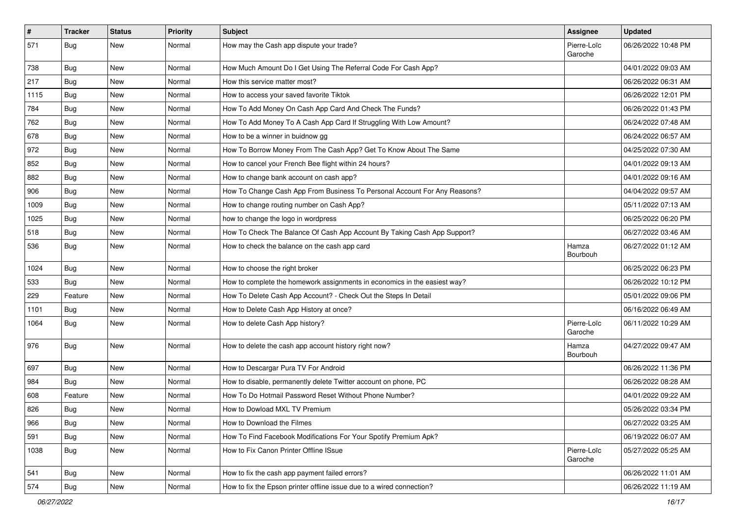| #    | <b>Tracker</b> | <b>Status</b> | <b>Priority</b> | <b>Subject</b>                                                            | Assignee               | <b>Updated</b>      |
|------|----------------|---------------|-----------------|---------------------------------------------------------------------------|------------------------|---------------------|
| 571  | Bug            | New           | Normal          | How may the Cash app dispute your trade?                                  | Pierre-Loïc<br>Garoche | 06/26/2022 10:48 PM |
| 738  | <b>Bug</b>     | New           | Normal          | How Much Amount Do I Get Using The Referral Code For Cash App?            |                        | 04/01/2022 09:03 AM |
| 217  | Bug            | New           | Normal          | How this service matter most?                                             |                        | 06/26/2022 06:31 AM |
| 1115 | Bug            | New           | Normal          | How to access your saved favorite Tiktok                                  |                        | 06/26/2022 12:01 PM |
| 784  | Bug            | New           | Normal          | How To Add Money On Cash App Card And Check The Funds?                    |                        | 06/26/2022 01:43 PM |
| 762  | <b>Bug</b>     | <b>New</b>    | Normal          | How To Add Money To A Cash App Card If Struggling With Low Amount?        |                        | 06/24/2022 07:48 AM |
| 678  | Bug            | New           | Normal          | How to be a winner in buidnow gg                                          |                        | 06/24/2022 06:57 AM |
| 972  | <b>Bug</b>     | New           | Normal          | How To Borrow Money From The Cash App? Get To Know About The Same         |                        | 04/25/2022 07:30 AM |
| 852  | Bug            | <b>New</b>    | Normal          | How to cancel your French Bee flight within 24 hours?                     |                        | 04/01/2022 09:13 AM |
| 882  | Bug            | New           | Normal          | How to change bank account on cash app?                                   |                        | 04/01/2022 09:16 AM |
| 906  | Bug            | New           | Normal          | How To Change Cash App From Business To Personal Account For Any Reasons? |                        | 04/04/2022 09:57 AM |
| 1009 | Bug            | New           | Normal          | How to change routing number on Cash App?                                 |                        | 05/11/2022 07:13 AM |
| 1025 | Bug            | New           | Normal          | how to change the logo in wordpress                                       |                        | 06/25/2022 06:20 PM |
| 518  | Bug            | <b>New</b>    | Normal          | How To Check The Balance Of Cash App Account By Taking Cash App Support?  |                        | 06/27/2022 03:46 AM |
| 536  | <b>Bug</b>     | New           | Normal          | How to check the balance on the cash app card                             | Hamza<br>Bourbouh      | 06/27/2022 01:12 AM |
| 1024 | Bug            | New           | Normal          | How to choose the right broker                                            |                        | 06/25/2022 06:23 PM |
| 533  | Bug            | New           | Normal          | How to complete the homework assignments in economics in the easiest way? |                        | 06/26/2022 10:12 PM |
| 229  | Feature        | <b>New</b>    | Normal          | How To Delete Cash App Account? - Check Out the Steps In Detail           |                        | 05/01/2022 09:06 PM |
| 1101 | Bug            | New           | Normal          | How to Delete Cash App History at once?                                   |                        | 06/16/2022 06:49 AM |
| 1064 | Bug            | New           | Normal          | How to delete Cash App history?                                           | Pierre-Loïc<br>Garoche | 06/11/2022 10:29 AM |
| 976  | Bug            | New           | Normal          | How to delete the cash app account history right now?                     | Hamza<br>Bourbouh      | 04/27/2022 09:47 AM |
| 697  | Bug            | <b>New</b>    | Normal          | How to Descargar Pura TV For Android                                      |                        | 06/26/2022 11:36 PM |
| 984  | Bug            | New           | Normal          | How to disable, permanently delete Twitter account on phone, PC           |                        | 06/26/2022 08:28 AM |
| 608  | Feature        | New           | Normal          | How To Do Hotmail Password Reset Without Phone Number?                    |                        | 04/01/2022 09:22 AM |
| 826  | <b>Bug</b>     | New           | Normal          | How to Dowload MXL TV Premium                                             |                        | 05/26/2022 03:34 PM |
| 966  | Bug            | New           | Normal          | How to Download the Filmes                                                |                        | 06/27/2022 03:25 AM |
| 591  | Bug            | New           | Normal          | How To Find Facebook Modifications For Your Spotify Premium Apk?          |                        | 06/19/2022 06:07 AM |
| 1038 | <b>Bug</b>     | New           | Normal          | How to Fix Canon Printer Offline ISsue                                    | Pierre-Loïc<br>Garoche | 05/27/2022 05:25 AM |
| 541  | <b>Bug</b>     | New           | Normal          | How to fix the cash app payment failed errors?                            |                        | 06/26/2022 11:01 AM |
| 574  | <b>Bug</b>     | New           | Normal          | How to fix the Epson printer offline issue due to a wired connection?     |                        | 06/26/2022 11:19 AM |